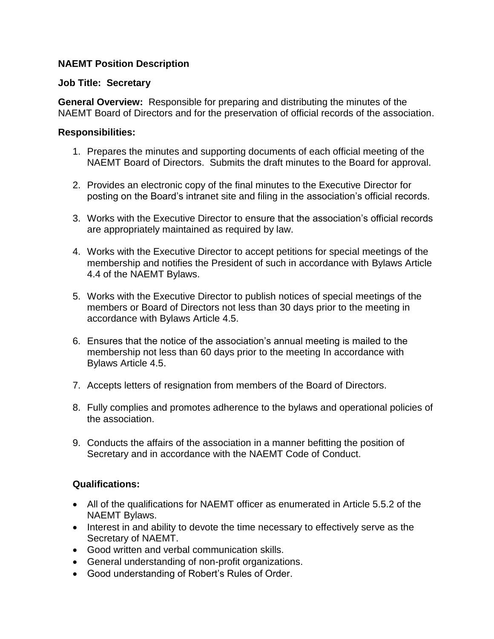## **NAEMT Position Description**

## **Job Title: Secretary**

**General Overview:** Responsible for preparing and distributing the minutes of the NAEMT Board of Directors and for the preservation of official records of the association.

## **Responsibilities:**

- 1. Prepares the minutes and supporting documents of each official meeting of the NAEMT Board of Directors. Submits the draft minutes to the Board for approval.
- 2. Provides an electronic copy of the final minutes to the Executive Director for posting on the Board's intranet site and filing in the association's official records.
- 3. Works with the Executive Director to ensure that the association's official records are appropriately maintained as required by law.
- 4. Works with the Executive Director to accept petitions for special meetings of the membership and notifies the President of such in accordance with Bylaws Article 4.4 of the NAEMT Bylaws.
- 5. Works with the Executive Director to publish notices of special meetings of the members or Board of Directors not less than 30 days prior to the meeting in accordance with Bylaws Article 4.5.
- 6. Ensures that the notice of the association's annual meeting is mailed to the membership not less than 60 days prior to the meeting In accordance with Bylaws Article 4.5.
- 7. Accepts letters of resignation from members of the Board of Directors.
- 8. Fully complies and promotes adherence to the bylaws and operational policies of the association.
- 9. Conducts the affairs of the association in a manner befitting the position of Secretary and in accordance with the NAEMT Code of Conduct.

## **Qualifications:**

- All of the qualifications for NAEMT officer as enumerated in Article 5.5.2 of the NAEMT Bylaws.
- Interest in and ability to devote the time necessary to effectively serve as the Secretary of NAEMT.
- Good written and verbal communication skills.
- General understanding of non-profit organizations.
- Good understanding of Robert's Rules of Order.